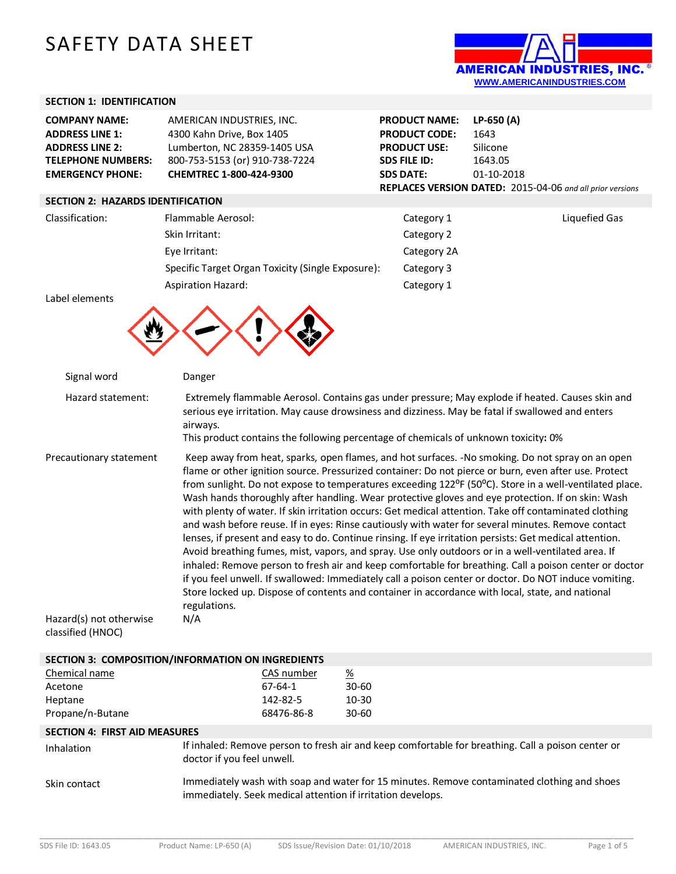# SAFETY DATA SHEET



## **SECTION 1: IDENTIFICATION**

| <b>COMPANY NAME:</b>      | AMERICAN INDUSTRIES, INC.      |
|---------------------------|--------------------------------|
| <b>ADDRESS LINE 1:</b>    | 4300 Kahn Drive, Box 1405      |
| <b>ADDRESS LINE 2:</b>    | Lumberton, NC 28359-1405 USA   |
| <b>TELEPHONE NUMBERS:</b> | 800-753-5153 (or) 910-738-7224 |
| <b>EMERGENCY PHONE:</b>   | CHEMTREC 1-800-424-9300        |

#### **SECTION 2: HAZARDS IDENTIFICATION**

Classification: Flammable Aerosol: Classification: Category 1 Liquefied Gas Skin Irritant: Category 2 Eye Irritant: Category 2A Specific Target Organ Toxicity (Single Exposure): Category 3 Aspiration Hazard: Category 1

| PRODUCT NAME: LP-650 (A) |                                                                  |
|--------------------------|------------------------------------------------------------------|
| <b>PRODUCT CODE:</b>     | 1643                                                             |
| <b>PRODUCT USE:</b>      | Silicone                                                         |
| <b>SDS FILE ID:</b>      | 1643.05                                                          |
| <b>SDS DATE:</b>         | 01-10-2018                                                       |
|                          | <b>REPLACES VERSION DATED: 2015-04-06 and all prior versions</b> |

| Label elements |  |  |
|----------------|--|--|
|                |  |  |
|                |  |  |
|                |  |  |

| Signal word                                                             | Danger                                                                                                                                                                                                                                                                                                                                                                                                                                                                                                                                                                                                                                                                                                                                                                                                                                                                                                                                                                                                                                                                                                                                                                                                                            |                                                       |                                                                                     |                                                                                                                                                                                                      |
|-------------------------------------------------------------------------|-----------------------------------------------------------------------------------------------------------------------------------------------------------------------------------------------------------------------------------------------------------------------------------------------------------------------------------------------------------------------------------------------------------------------------------------------------------------------------------------------------------------------------------------------------------------------------------------------------------------------------------------------------------------------------------------------------------------------------------------------------------------------------------------------------------------------------------------------------------------------------------------------------------------------------------------------------------------------------------------------------------------------------------------------------------------------------------------------------------------------------------------------------------------------------------------------------------------------------------|-------------------------------------------------------|-------------------------------------------------------------------------------------|------------------------------------------------------------------------------------------------------------------------------------------------------------------------------------------------------|
| Hazard statement:                                                       | airways.                                                                                                                                                                                                                                                                                                                                                                                                                                                                                                                                                                                                                                                                                                                                                                                                                                                                                                                                                                                                                                                                                                                                                                                                                          |                                                       | This product contains the following percentage of chemicals of unknown toxicity: 0% | Extremely flammable Aerosol. Contains gas under pressure; May explode if heated. Causes skin and<br>serious eye irritation. May cause drowsiness and dizziness. May be fatal if swallowed and enters |
| Precautionary statement<br>Hazard(s) not otherwise<br>classified (HNOC) | Keep away from heat, sparks, open flames, and hot surfaces. -No smoking. Do not spray on an open<br>flame or other ignition source. Pressurized container: Do not pierce or burn, even after use. Protect<br>from sunlight. Do not expose to temperatures exceeding 122 <sup>o</sup> F (50 <sup>o</sup> C). Store in a well-ventilated place.<br>Wash hands thoroughly after handling. Wear protective gloves and eye protection. If on skin: Wash<br>with plenty of water. If skin irritation occurs: Get medical attention. Take off contaminated clothing<br>and wash before reuse. If in eyes: Rinse cautiously with water for several minutes. Remove contact<br>lenses, if present and easy to do. Continue rinsing. If eye irritation persists: Get medical attention.<br>Avoid breathing fumes, mist, vapors, and spray. Use only outdoors or in a well-ventilated area. If<br>inhaled: Remove person to fresh air and keep comfortable for breathing. Call a poison center or doctor<br>if you feel unwell. If swallowed: Immediately call a poison center or doctor. Do NOT induce vomiting.<br>Store locked up. Dispose of contents and container in accordance with local, state, and national<br>regulations.<br>N/A |                                                       |                                                                                     |                                                                                                                                                                                                      |
| SECTION 3: COMPOSITION/INFORMATION ON INGREDIENTS                       |                                                                                                                                                                                                                                                                                                                                                                                                                                                                                                                                                                                                                                                                                                                                                                                                                                                                                                                                                                                                                                                                                                                                                                                                                                   |                                                       |                                                                                     |                                                                                                                                                                                                      |
| Chemical name<br>Acetone<br>Heptane<br>Propane/n-Butane                 |                                                                                                                                                                                                                                                                                                                                                                                                                                                                                                                                                                                                                                                                                                                                                                                                                                                                                                                                                                                                                                                                                                                                                                                                                                   | CAS number<br>$67 - 64 - 1$<br>142-82-5<br>68476-86-8 | $\frac{\%}{\%}$<br>$30 - 60$<br>$10 - 30$<br>$30 - 60$                              |                                                                                                                                                                                                      |
| <b>SECTION 4: FIRST AID MEASURES</b>                                    |                                                                                                                                                                                                                                                                                                                                                                                                                                                                                                                                                                                                                                                                                                                                                                                                                                                                                                                                                                                                                                                                                                                                                                                                                                   |                                                       |                                                                                     |                                                                                                                                                                                                      |
| Inhalation                                                              | doctor if you feel unwell.                                                                                                                                                                                                                                                                                                                                                                                                                                                                                                                                                                                                                                                                                                                                                                                                                                                                                                                                                                                                                                                                                                                                                                                                        |                                                       |                                                                                     | If inhaled: Remove person to fresh air and keep comfortable for breathing. Call a poison center or                                                                                                   |

Skin contact Immediately wash with soap and water for 15 minutes. Remove contaminated clothing and shoes immediately. Seek medical attention if irritation develops.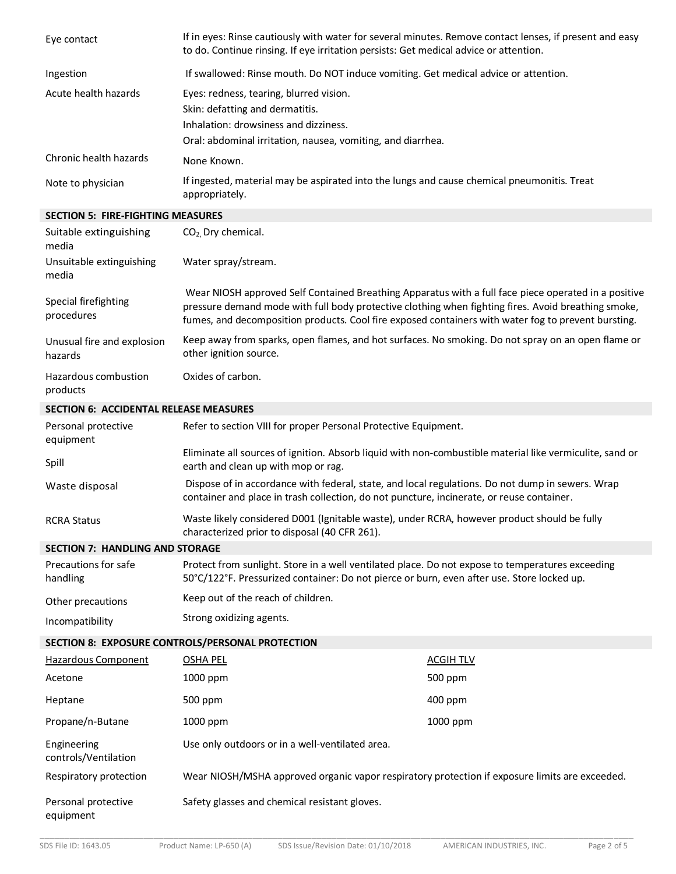| Eye contact                                   | If in eyes: Rinse cautiously with water for several minutes. Remove contact lenses, if present and easy<br>to do. Continue rinsing. If eye irritation persists: Get medical advice or attention.                                                                                                                   |                 |  |
|-----------------------------------------------|--------------------------------------------------------------------------------------------------------------------------------------------------------------------------------------------------------------------------------------------------------------------------------------------------------------------|-----------------|--|
| Ingestion                                     | If swallowed: Rinse mouth. Do NOT induce vomiting. Get medical advice or attention.                                                                                                                                                                                                                                |                 |  |
| Acute health hazards                          | Eyes: redness, tearing, blurred vision.<br>Skin: defatting and dermatitis.<br>Inhalation: drowsiness and dizziness.<br>Oral: abdominal irritation, nausea, vomiting, and diarrhea.                                                                                                                                 |                 |  |
| Chronic health hazards                        | None Known.                                                                                                                                                                                                                                                                                                        |                 |  |
| Note to physician                             | If ingested, material may be aspirated into the lungs and cause chemical pneumonitis. Treat<br>appropriately.                                                                                                                                                                                                      |                 |  |
| <b>SECTION 5: FIRE-FIGHTING MEASURES</b>      |                                                                                                                                                                                                                                                                                                                    |                 |  |
| Suitable extinguishing<br>media               | $CO2$ , Dry chemical.                                                                                                                                                                                                                                                                                              |                 |  |
| Unsuitable extinguishing<br>media             | Water spray/stream.                                                                                                                                                                                                                                                                                                |                 |  |
| Special firefighting<br>procedures            | Wear NIOSH approved Self Contained Breathing Apparatus with a full face piece operated in a positive<br>pressure demand mode with full body protective clothing when fighting fires. Avoid breathing smoke,<br>fumes, and decomposition products. Cool fire exposed containers with water fog to prevent bursting. |                 |  |
| Unusual fire and explosion<br>hazards         | Keep away from sparks, open flames, and hot surfaces. No smoking. Do not spray on an open flame or<br>other ignition source.                                                                                                                                                                                       |                 |  |
| Hazardous combustion<br>products              | Oxides of carbon.                                                                                                                                                                                                                                                                                                  |                 |  |
| <b>SECTION 6: ACCIDENTAL RELEASE MEASURES</b> |                                                                                                                                                                                                                                                                                                                    |                 |  |
| Personal protective<br>equipment              | Refer to section VIII for proper Personal Protective Equipment.                                                                                                                                                                                                                                                    |                 |  |
| Spill                                         | Eliminate all sources of ignition. Absorb liquid with non-combustible material like vermiculite, sand or<br>earth and clean up with mop or rag.                                                                                                                                                                    |                 |  |
| Waste disposal                                | Dispose of in accordance with federal, state, and local regulations. Do not dump in sewers. Wrap<br>container and place in trash collection, do not puncture, incinerate, or reuse container.                                                                                                                      |                 |  |
| <b>RCRA Status</b>                            | Waste likely considered D001 (Ignitable waste), under RCRA, however product should be fully<br>characterized prior to disposal (40 CFR 261).                                                                                                                                                                       |                 |  |
| <b>SECTION 7: HANDLING AND STORAGE</b>        |                                                                                                                                                                                                                                                                                                                    |                 |  |
| Precautions for safe<br>handling              | Protect from sunlight. Store in a well ventilated place. Do not expose to temperatures exceeding<br>50°C/122°F. Pressurized container: Do not pierce or burn, even after use. Store locked up.                                                                                                                     |                 |  |
| Other precautions                             | Keep out of the reach of children.                                                                                                                                                                                                                                                                                 |                 |  |
| Incompatibility                               | Strong oxidizing agents.                                                                                                                                                                                                                                                                                           |                 |  |
|                                               | SECTION 8: EXPOSURE CONTROLS/PERSONAL PROTECTION                                                                                                                                                                                                                                                                   |                 |  |
| Hazardous Component                           | <b>OSHA PEL</b>                                                                                                                                                                                                                                                                                                    | <b>ACGIHTLV</b> |  |
| Acetone                                       | 1000 ppm                                                                                                                                                                                                                                                                                                           | 500 ppm         |  |
| Heptane                                       | 500 ppm                                                                                                                                                                                                                                                                                                            | 400 ppm         |  |
| Propane/n-Butane                              | 1000 ppm                                                                                                                                                                                                                                                                                                           | 1000 ppm        |  |
| Engineering<br>controls/Ventilation           | Use only outdoors or in a well-ventilated area.                                                                                                                                                                                                                                                                    |                 |  |
| Respiratory protection                        | Wear NIOSH/MSHA approved organic vapor respiratory protection if exposure limits are exceeded.                                                                                                                                                                                                                     |                 |  |
| Personal protective                           | Safety glasses and chemical resistant gloves.                                                                                                                                                                                                                                                                      |                 |  |

equipment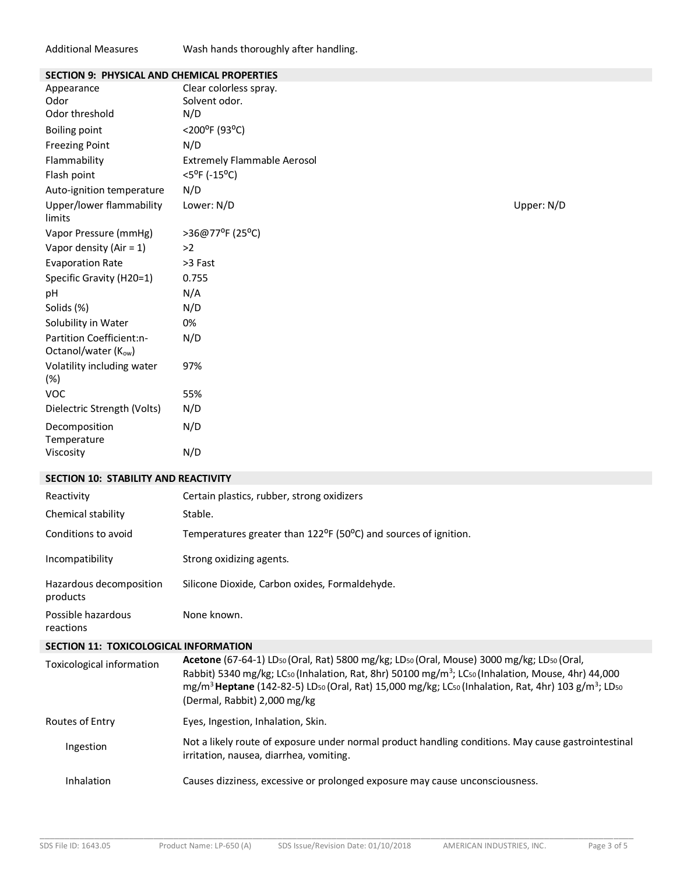#### Additional Measures Wash hands thoroughly after handling.

| SECTION 5. PHTSICAL AND CHEMICAL PROPERTIES |                      |
|---------------------------------------------|----------------------|
| Clear colorless spray.                      |                      |
|                                             |                      |
|                                             |                      |
| $<$ 200°F (93°C)                            |                      |
| N/D                                         |                      |
| <b>Extremely Flammable Aerosol</b>          |                      |
| $<$ 5 <sup>o</sup> F (-15 <sup>o</sup> C)   |                      |
| N/D                                         |                      |
| Lower: N/D                                  | Upper: N/D           |
| >36@77°F (25°C)                             |                      |
| >2                                          |                      |
| >3 Fast                                     |                      |
| 0.755                                       |                      |
| N/A                                         |                      |
| N/D                                         |                      |
| 0%                                          |                      |
| N/D                                         |                      |
| 97%                                         |                      |
| 55%                                         |                      |
| N/D                                         |                      |
| N/D                                         |                      |
| N/D                                         |                      |
|                                             | Solvent odor.<br>N/D |

#### **SECTION 10: STABILITY AND REACTIVITY**

| Reactivity                                   | Certain plastics, rubber, strong oxidizers                                                                                                                                                                                                                                                                                                                                     |
|----------------------------------------------|--------------------------------------------------------------------------------------------------------------------------------------------------------------------------------------------------------------------------------------------------------------------------------------------------------------------------------------------------------------------------------|
| Chemical stability                           | Stable.                                                                                                                                                                                                                                                                                                                                                                        |
| Conditions to avoid                          | Temperatures greater than 122 <sup>o</sup> F (50 <sup>o</sup> C) and sources of ignition.                                                                                                                                                                                                                                                                                      |
| Incompatibility                              | Strong oxidizing agents.                                                                                                                                                                                                                                                                                                                                                       |
| Hazardous decomposition<br>products          | Silicone Dioxide, Carbon oxides, Formaldehyde.                                                                                                                                                                                                                                                                                                                                 |
| Possible hazardous<br>reactions              | None known.                                                                                                                                                                                                                                                                                                                                                                    |
| <b>SECTION 11: TOXICOLOGICAL INFORMATION</b> |                                                                                                                                                                                                                                                                                                                                                                                |
| Toxicological information                    | Acetone (67-64-1) LDso (Oral, Rat) 5800 mg/kg; LDso (Oral, Mouse) 3000 mg/kg; LDso (Oral,<br>Rabbit) 5340 mg/kg; LCso (Inhalation, Rat, 8hr) 50100 mg/m <sup>3</sup> ; LCso (Inhalation, Mouse, 4hr) 44,000<br>mg/m <sup>3</sup> Heptane (142-82-5) LD <sub>50</sub> (Oral, Rat) 15,000 mg/kg; LC <sub>50</sub> (Inhalation, Rat, 4hr) 103 g/m <sup>3</sup> ; LD <sub>50</sub> |

|                   | (Dermal, Rabbit) 2,000 mg/kg                                                                                                                   |
|-------------------|------------------------------------------------------------------------------------------------------------------------------------------------|
| Routes of Entry   | Eyes, Ingestion, Inhalation, Skin.                                                                                                             |
| Ingestion         | Not a likely route of exposure under normal product handling conditions. May cause gastrointestinal<br>irritation, nausea, diarrhea, vomiting. |
| <b>Inhalation</b> | Causes dizziness, excessive or prolonged exposure may cause unconsciousness.                                                                   |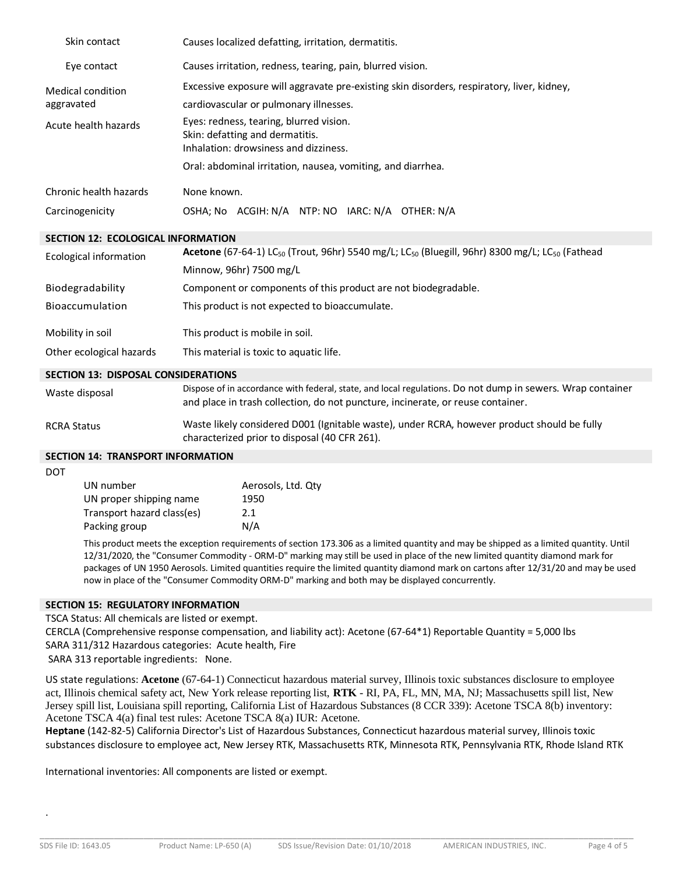| Skin contact                               | Causes localized defatting, irritation, dermatitis.                                                                                                                                           |  |  |
|--------------------------------------------|-----------------------------------------------------------------------------------------------------------------------------------------------------------------------------------------------|--|--|
| Eye contact                                | Causes irritation, redness, tearing, pain, blurred vision.                                                                                                                                    |  |  |
| <b>Medical condition</b><br>aggravated     | Excessive exposure will aggravate pre-existing skin disorders, respiratory, liver, kidney,<br>cardiovascular or pulmonary illnesses.                                                          |  |  |
| Acute health hazards                       | Eyes: redness, tearing, blurred vision.<br>Skin: defatting and dermatitis.<br>Inhalation: drowsiness and dizziness.                                                                           |  |  |
|                                            | Oral: abdominal irritation, nausea, vomiting, and diarrhea.                                                                                                                                   |  |  |
| Chronic health hazards                     | None known.                                                                                                                                                                                   |  |  |
| Carcinogenicity                            | OSHA; No ACGIH: N/A NTP: NO IARC: N/A OTHER: N/A                                                                                                                                              |  |  |
| SECTION 12: ECOLOGICAL INFORMATION         |                                                                                                                                                                                               |  |  |
| <b>Ecological information</b>              | <b>Acetone</b> (67-64-1) LC <sub>50</sub> (Trout, 96hr) 5540 mg/L; LC <sub>50</sub> (Bluegill, 96hr) 8300 mg/L; LC <sub>50</sub> (Fathead                                                     |  |  |
|                                            | Minnow, 96hr) 7500 mg/L                                                                                                                                                                       |  |  |
| Biodegradability                           | Component or components of this product are not biodegradable.                                                                                                                                |  |  |
| Bioaccumulation                            | This product is not expected to bioaccumulate.                                                                                                                                                |  |  |
| Mobility in soil                           | This product is mobile in soil.                                                                                                                                                               |  |  |
| Other ecological hazards                   | This material is toxic to aquatic life.                                                                                                                                                       |  |  |
| <b>SECTION 13: DISPOSAL CONSIDERATIONS</b> |                                                                                                                                                                                               |  |  |
| Waste disposal                             | Dispose of in accordance with federal, state, and local regulations. Do not dump in sewers. Wrap container<br>and place in trash collection, do not puncture, incinerate, or reuse container. |  |  |
| <b>RCRA Status</b>                         | Waste likely considered D001 (Ignitable waste), under RCRA, however product should be fully<br>characterized prior to disposal (40 CFR 261).                                                  |  |  |
| <b>SECTION 14: TRANSPORT INFORMATION</b>   |                                                                                                                                                                                               |  |  |
| <b>DOT</b>                                 |                                                                                                                                                                                               |  |  |

| Aerosols, Ltd. Qty |
|--------------------|
| 1950               |
| 2.1                |
| N/A                |
|                    |

This product meets the exception requirements of section 173.306 as a limited quantity and may be shipped as a limited quantity. Until 12/31/2020, the "Consumer Commodity - ORM-D" marking may still be used in place of the new limited quantity diamond mark for packages of UN 1950 Aerosols. Limited quantities require the limited quantity diamond mark on cartons after 12/31/20 and may be used now in place of the "Consumer Commodity ORM-D" marking and both may be displayed concurrently.

### **SECTION 15: REGULATORY INFORMATION**

TSCA Status: All chemicals are listed or exempt.

CERCLA (Comprehensive response compensation, and liability act): Acetone (67-64\*1) Reportable Quantity = 5,000 lbs SARA 311/312 Hazardous categories: Acute health, Fire

SARA 313 reportable ingredients: None.

US state regulations: **Acetone** (67-64-1) Connecticut hazardous material survey, Illinois toxic substances disclosure to employee act, Illinois chemical safety act, New York release reporting list, **RTK** - RI, PA, FL, MN, MA, NJ; Massachusetts spill list, New Jersey spill list, Louisiana spill reporting, California List of Hazardous Substances (8 CCR 339): Acetone TSCA 8(b) inventory: Acetone TSCA 4(a) final test rules: Acetone TSCA 8(a) IUR: Acetone.

**Heptane** (142-82-5) California Director's List of Hazardous Substances, Connecticut hazardous material survey, Illinois toxic substances disclosure to employee act, New Jersey RTK, Massachusetts RTK, Minnesota RTK, Pennsylvania RTK, Rhode Island RTK

International inventories: All components are listed or exempt.

.